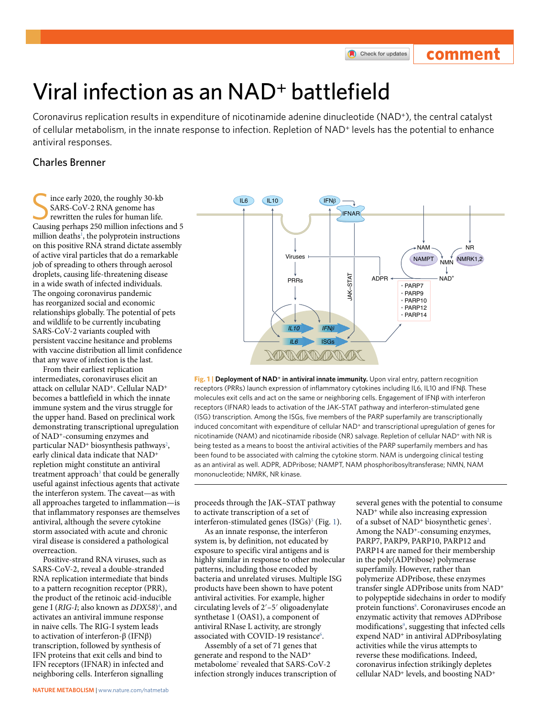## **comment**

# Viral infection as an NAD<sup>+</sup> battlefield

Coronavirus replication results in expenditure of nicotinamide adenine dinucleotide (NAD+), the central catalyst of cellular metabolism, in the innate response to infection. Repletion of NAD<sup>+</sup> levels has the potential to enhance antiviral responses.

### Charles Brenner

ince early 2020, the roughly 30-kb SARS-CoV-2 RNA genome has rewritten the rules for human life. Causing perhaps 250 million infections and 5 million deaths<sup>[1](#page-1-0)</sup>, the polyprotein instructions on this positive RNA strand dictate assembly of active viral particles that do a remarkable job of spreading to others through aerosol droplets, causing life-threatening disease in a wide swath of infected individuals. The ongoing coronavirus pandemic has reorganized social and economic relationships globally. The potential of pets and wildlife to be currently incubating SARS-CoV-2 variants coupled with persistent vaccine hesitance and problems with vaccine distribution all limit confidence that any wave of infection is the last.

From their earliest replication intermediates, coronaviruses elicit an attack on cellular NAD<sup>+</sup>. Cellular NAD<sup>+</sup> becomes a battlefield in which the innate immune system and the virus struggle for the upper hand. Based on preclinical work demonstrating transcriptional upregulation of NAD<sup>+</sup>-consuming enzymes and particular NAD<sup>+</sup> biosynthesis pathways<sup>2</sup>, early clinical data indicate that NAD<sup>+</sup> repletion might constitute an antiviral treatment approach<sup>[3](#page-1-2)</sup> that could be generally useful against infectious agents that activate the interferon system. The caveat—as with all approaches targeted to inflammation—is that inflammatory responses are themselves antiviral, although the severe cytokine storm associated with acute and chronic viral disease is considered a pathological overreaction.

Positive-strand RNA viruses, such as SARS-CoV-2, reveal a double-stranded RNA replication intermediate that binds to a pattern recognition receptor (PRR), the product of the retinoic acid-inducible gene I (*RIG-I*; also known as *DDX58*[\)4](#page-1-3) , and activates an antiviral immune response in naive cells. The RIG-I system leads to activation of interferon-β (IFNβ) transcription, followed by synthesis of IFN proteins that exit cells and bind to IFN receptors (IFNAR) in infected and neighboring cells. Interferon signalling



<span id="page-0-0"></span>**Fig. 1 | Deployment of NAD+ in antiviral innate immunity.** Upon viral entry, pattern recognition receptors (PRRs) launch expression of inflammatory cytokines including IL6, IL10 and IFNβ. These molecules exit cells and act on the same or neighboring cells. Engagement of IFNβ with interferon receptors (IFNAR) leads to activation of the JAK–STAT pathway and interferon-stimulated gene (ISG) transcription. Among the ISGs, five members of the PARP superfamily are transcriptionally induced concomitant with expenditure of cellular NAD<sup>+</sup> and transcriptional upregulation of genes for nicotinamide (NAM) and nicotinamide riboside (NR) salvage. Repletion of cellular NAD+ with NR is being tested as a means to boost the antiviral activities of the PARP superfamily members and has been found to be associated with calming the cytokine storm. NAM is undergoing clinical testing as an antiviral as well. ADPR, ADPribose; NAMPT, NAM phosphoribosyltransferase; NMN, NAM mononucleotide; NMRK, NR kinase.

proceeds through the JAK–STAT pathway to activate transcription of a set of interferon-stimulated genes (ISGs)<sup>5</sup> (Fig. [1\)](#page-0-0).

As an innate response, the interferon system is, by definition, not educated by exposure to specific viral antigens and is highly similar in response to other molecular patterns, including those encoded by bacteria and unrelated viruses. Multiple ISG products have been shown to have potent antiviral activities. For example, higher circulating levels of 2′–5′ oligoadenylate synthetase 1 (OAS1), a component of antiviral RNase L activity, are strongly associated with COVID-19 resistance<sup>[6](#page-1-5)</sup>.

Assembly of a set of 71 genes that generate and respond to the NAD<sup>+</sup> metabolome<sup>[7](#page-1-6)</sup> revealed that SARS-CoV-2 infection strongly induces transcription of several genes with the potential to consume NAD<sup>+</sup> while also increasing expression of a subset of NAD<sup>+</sup> biosynthetic genes<sup>2</sup>. Among the NAD<sup>+</sup>-consuming enzymes, PARP7, PARP9, PARP10, PARP12 and PARP14 are named for their membership in the poly(ADPribose) polymerase superfamily. However, rather than polymerize ADPribose, these enzymes transfer single ADPribose units from NAD<sup>+</sup> to polypeptide sidechains in order to modify protein functions<sup>8</sup>. Coronaviruses encode an enzymatic activity that removes ADPribose modifications<sup>9</sup>, suggesting that infected cells expend NAD<sup>+</sup> in antiviral ADPribosylating activities while the virus attempts to reverse these modifications. Indeed, coronavirus infection strikingly depletes cellular NAD<sup>+</sup> levels, and boosting NAD<sup>+</sup>